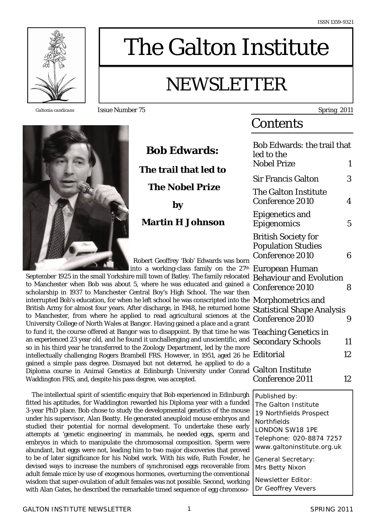

*Galtonia candicans* Issue Number 75 Spring 2011



 **Bob Edwards: The trail that led to The Nobel Prize by Martin H Johnson**

Robert Geoffrey 'Bob' Edwards was born

linto a working-class family on the 27<sup>th</sup> September 1925 in the small Yorkshire mill town of Batley. The family relocated to Manchester when Bob was about 5, where he was educated and gained a scholarship in 1937 to Manchester Central Boy's High School. The war then interrupted Bob's education, for when he left school he was conscripted into the British Army for almost four years. After discharge, in 1948, he returned home to Manchester, from where he applied to read agricultural sciences at the University College of North Wales at Bangor. Having gained a place and a grant to fund it, the course offered at Bangor was to disappoint. By that time he was an experienced 23 year old, and he found it unchallenging and unscientific, and so in his third year he transferred to the Zoology Department, led by the more intellectually challenging Rogers Brambell FRS. However, in 1951, aged 26 he gained a simple pass degree. Dismayed but not deterred, he applied to do a Diploma course in Animal Genetics at Edinburgh University under Conrad Waddington FRS, and, despite his pass degree, was accepted.

 The intellectual spirit of scientific enquiry that Bob experienced in Edinburgh fitted his aptitudes, for Waddington rewarded his Diploma year with a funded 3-year PhD place. Bob chose to study the developmental genetics of the mouse under his supervisor, Alan Beatty. He generated aneuploid mouse embryos and studied their potential for normal development. To undertake these early attempts at 'genetic engineering' in mammals, he needed eggs, sperm and embryos in which to manipulate the chromosomal composition. Sperm were abundant, but eggs were not, leading him to two major discoveries that proved to be of later significance for his Nobel work. With his wife, Ruth Fowler, he devised ways to increase the numbers of synchronised eggs recoverable from adult female mice by use of exogenous hormones, overturning the conventional wisdom that super-ovulation of adult females was not possible. Second, working with Alan Gates, he described the remarkable timed sequence of egg chromoso-

# **Contents**

The Galton Institute

NEWSLETTER

| Bob Edwards: the trail that<br>led to the                                            |    |
|--------------------------------------------------------------------------------------|----|
| <b>Nobel Prize</b>                                                                   | 1  |
| <b>Sir Francis Galton</b>                                                            | 3  |
| <b>The Galton Institute</b><br>Conference 2010                                       | 4  |
| Epigenetics and<br>Epigenomics                                                       | 5  |
| <b>British Society for</b><br><b>Population Studies</b><br>Conference 2010           | 6  |
| European Human<br><b>Behaviour and Evolution</b><br>Conference 2010                  | 8  |
| Morphometrics and<br>$\cdot$<br><b>Statistical Shape Analysis</b><br>Conference 2010 |    |
| <b>Teaching Genetics in</b><br>Secondary Schools                                     | 11 |
| Editorial                                                                            | 12 |
| <b>Galton Institute</b><br>Conference 2011                                           | 12 |
| Published by:                                                                        |    |

The Galton Institute 19 Northfields Prospect **Northfields** LONDON SW18 1PE Telephone: 020-8874 7257 www.galtoninstitute.org.uk General Secretary: Mrs Betty Nixon Newsletter Editor:

Dr Geoffrey Vevers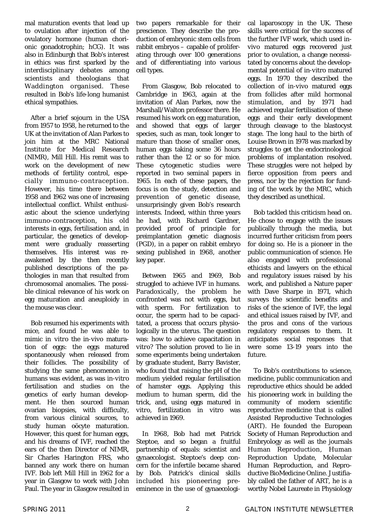mal maturation events that lead up to ovulation after injection of the ovulatory hormone (human chorionic gonadotrophin; hCG). It was also in Edinburgh that Bob's interest in ethics was first sparked by the interdisciplinary debates among scientists and theologians that Waddington organised. These resulted in Bob's life-long humanist ethical sympathies.

 After a brief sojourn in the USA from 1957 to 1958, he returned to the UK at the invitation of Alan Parkes to join him at the MRC National Institute for Medical Research (NIMR), Mill Hill. His remit was to work on the development of new methods of fertility control, especially immuno-contraception. However, his time there between 1958 and 1962 was one of increasing intellectual conflict. Whilst enthusiastic about the science underlying immuno-contraception, his old interests in eggs, fertilisation and, in particular, the genetics of development were gradually reasserting themselves. His interest was reawakened by the then recently published descriptions of the pathologies in man that resulted from chromosomal anomalies. The possible clinical relevance of his work on egg maturation and aneuploidy in the mouse was clear.

 Bob resumed his experiments with mice, and found he was able to mimic *in vitro* the *in-vivo* maturation of eggs: the eggs matured spontaneously when released from their follicles. The possibility of studying the same phenomenon in humans was evident, as was *in-vitro* fertilisation and studies on the genetics of early human development. He then sourced human ovarian biopsies, with difficulty, from various clinical sources, to study human oöcyte maturation. However, this quest for human eggs, and his dreams of IVF, reached the ears of the then Director of NIMR, Sir Charles Harington FRS, who banned any work there on human IVF. Bob left Mill Hill in 1962 for a year in Glasgow to work with John Paul. The year in Glasgow resulted in

two papers remarkable for their prescience. They describe the production of embryonic stem cells from rabbit embryos – capable of proliferating through over 100 generations and of differentiating into various cell types.

 From Glasgow, Bob relocated to Cambridge in 1963, again at the invitation of Alan Parkes, now the Marshall/Walton professor there. He resumed his work on egg maturation, and showed that eggs of larger species, such as man, took longer to mature than those of smaller ones, human eggs taking some 36 hours rather than the 12 or so for mice. These cytogenetic studies were reported in two seminal papers in 1965. In each of these papers, the focus is on the study, detection and prevention of genetic disease, unsurprisingly given Bob's research interests. Indeed, within three years he had, with Richard Gardner, provided proof of principle for preimplantation genetic diagnosis (PGD), in a paper on rabbit embryo sexing published in 1968, another key paper.

 Between 1965 and 1969, Bob struggled to achieve IVF in humans. Paradoxically, the problem he confronted was not with eggs, but with sperm. For fertilization to occur, the sperm had to be capacitated, a process that occurs physiologically in the uterus. The question was: how to achieve capacitation *in vitro*? The solution proved to lie in some experiments being undertaken by graduate student, Barry Bavister, who found that raising the pH of the medium yielded regular fertilisation of hamster eggs. Applying this medium to human sperm, did the trick, and, using eggs matured *in vitro*, fertilization *in vitro* was achieved in 1969.

 In 1968, Bob had met Patrick Steptoe, and so began a fruitful partnership of equals: scientist and gynaecologist. Steptoe's deep concern for the infertile became shared by Bob. Patrick's clinical skills included his pioneering preeminence in the use of gynaecologi-

cal laparoscopy in the UK. These skills were critical for the success of the further IVF work, which used *invivo* matured eggs recovered just prior to ovulation, a change necessitated by concerns about the developmental potential of *in-vitro* matured eggs. In 1970 they described the collection of *in-vivo* matured eggs from follicles after mild hormonal stimulation, and by 1971 had achieved regular fertilisation of these eggs and their early development through cleavage to the blastocyst stage. The long haul to the birth of Louise Brown in 1978 was marked by struggles to get the endocrinological problems of implantation resolved. These struggles were not helped by fierce opposition from peers and press, nor by the rejection for funding of the work by the MRC, which they described as unethical.

 Bob tackled this criticism head on. He chose to engage with the issues publically through the media, but incurred further criticism from peers for doing so. He is a pioneer in the public communication of science. He also engaged with professional ethicists and lawyers on the ethical and regulatory issues raised by his work, and published a Nature paper with Dave Sharpe in 1971, which surveys the scientific benefits and risks of the science of IVF, the legal and ethical issues raised by IVF, and the pros and cons of the various regulatory responses to them. It anticipates social responses that were some 13-19 years into the future.

 To Bob's contributions to science, medicine, public communication and reproductive ethics should be added his pioneering work in building the community of modern scientific reproductive medicine that is called Assisted Reproductive Technologies (ART). He founded the European Society of Human Reproduction and Embryology as well as the journals Human Reproduction, Human Reproduction Update, Molecular Human Reproduction, and Reproductive BioMedicine Online. Justifiably called the father of ART, he is a worthy Nobel Laureate in Physiology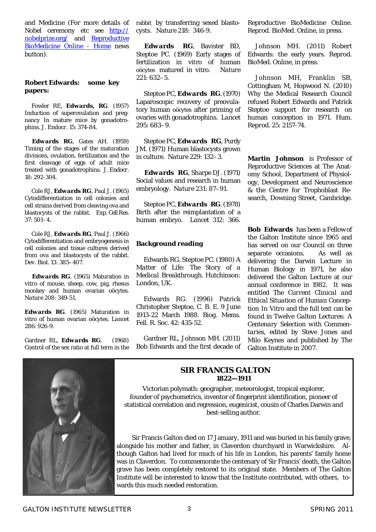and Medicine (For more details of Nobel ceremony etc see http:// nobelprize.org/ and Reproductive BioMedicine Online - Home news button).

#### **Robert Edwards: some key papers:**

 Fowler RE, *Edwards, RG*. (1957) Induction of superovulation and pregnancy In mature mice by gonadotrophins. *J. Endocr*. 15: 374-84.

 *Edwards RG*, Gates AH. (1959) Timing of the stages of the maturation divisions, ovulation, fertilization and the first cleavage of eggs of adult mice treated with gonadotrophins. *J. Endocr*. 18: 292-304.

 Cole RJ, *Edwards RG*, Paul J. (1965) Cytodifferentiation in cell colonies and cell strains derived from cleaving ova and blastocysts of the rabbit. *Exp. Cell Res.* 37: 501–4.

 Cole RJ, *Edwards RG*, Paul J. (1966) Cytodifferentiation and embryogenesis in cell colonies and tissue cultures derived from ova and blastocysts of the rabbit. *Dev. Biol.* 13: 385–407.

 *Edwards RG*. (1965) Maturation *in vitro* of mouse, sheep, cow, pig, rhesus monkey and human ovarian oöcytes. *Nature* 208: 349-51.

*Edwards RG*. (1965) Maturation in vitro of human ovarian oöcytes. *Lancet* 286: 926-9.

Gardner RL, *Edwards RG*. (1968) Control of the sex ratio at full term in the rabbit by transferring sexed blastocysts. *Natur*e 218: 346-9.

 *Edwards RG*, Bavister BD, Steptoe PC. (1969) Early stages of fertilization in vitro of human oöcytes matured in vitro. *Nature*  221: 632–5.

 Steptoe PC, *Edwards RG*. (1970) Laparoscopic recovery of preovulatory human oöcytes after priming of ovaries with gonadotrophins. *Lancet*  295: 683–9.

 Steptoe PC, *Edwards RG*, Purdy JM. (1971) Human blastocysts grown in culture. *Nature* 229: 132–3.

 *Edwards RG*, Sharpe DJ. (1971) Social values and research in human embryology. *Nature* 231: 87–91.

 Steptoe PC, *Edwards RG*. (1978) Birth after the reimplantation of a human embryo. *Lancet* 312: 366.

#### **Background reading**

 Edwards RG, Steptoe PC. (1980) *A Matter of Life: The Story of a Medical Breakthrough*. Hutchinson: London, UK.

 Edwards RG. (1996) Patrick Christopher Steptoe, C. B. E. 9 June 1913-22 March 1988. *Biog. Mems. Fell. R. Soc*. 42: 435-52.

 Gardner RL, Johnson MH. (2011) Bob Edwards and the first decade of Reproductive BioMedicine Online. *Reprod. BioMed. Online*, in press.

 Johnson MH. (2011) Robert Edwards: the early years. *Reprod. BioMed. Online*, in press.

 Johnson MH, Franklin SB, Cottingham M, Hopwood N. (2010) Why the Medical Research Council refused Robert Edwards and Patrick Steptoe support for research on human conception in 1971. *Hum. Reprod*. 25: 2157-74.

**Martin Johnson** is Professor of Reproductive Sciences at The Anatomy School, Department of Physiology, Development and Neuroscience & the Centre for Trophoblast Research, Downing Street, Cambridge.

**Bob Edwards** has been a Fellow of the Galton Institute since 1965 and has served on our Council on three separate occasions. As well as delivering the Darwin Lecture in Human Biology in 1971, he also delivered the Galton Lecture at our annual conference in 1982. It was entitled *The Current Clinical and Ethical Situation of Human Conception In Vitro* and the full text can be found in *Twelve Galton Lectures: A Centenary Selection with Commentaries*, edited by Steve Jones and Milo Keynes and published by The Galton Institute in 2007.



# **SIR FRANCIS GALTON 1822—1911**

Victorian polymath: geographer, meteorologist, tropical explorer, founder of psychometrics, inventor of fingerprint identification, pioneer of statistical correlation and regression, eugenicist, cousin of Charles Darwin and best-selling author.

 Sir Francis Galton died on 17 January, 1911 and was buried in his family grave, alongside his mother and father, in Claverdon churchyard in Warwickshire. Although Galton had lived for much of his life in London, his parents' family home was in Claverdon. To commemorate the centenary of Sir Francis' death, the Galton grave has been completely restored to its original state. Members of The Galton Institute will be interested to know that the Institute contributed, with others, towards this much needed restoration.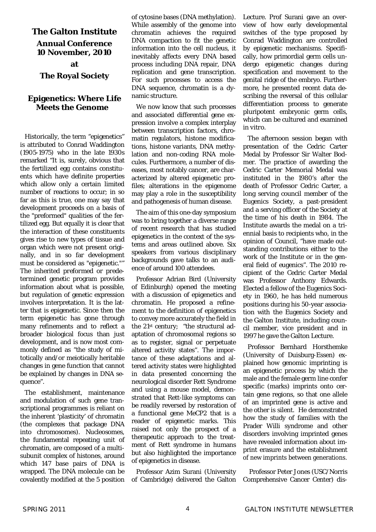# **The Galton Institute**

#### **Annual Conference 10 November, 2010**

# **The Royal Society**

# **Epigenetics: Where Life Meets the Genome**

Historically, the term "epigenetics" is attributed to Conrad Waddington (1905-1975) who in the late 1930s remarked "It is, surely, obvious that the fertilized egg contains constituents which have definite properties which allow only a certain limited number of reactions to occur; in so far as this is true, one may say that development proceeds on a basis of the "preformed" qualities of the fertilized egg. But equally it is clear that the interaction of these constituents gives rise to new types of tissue and organ which were not present originally, and in so far development must be considered as "epigenetic."" The inherited *preformed* or *predetermined* genetic program provides information about what is possible, but *regulation* of genetic expression involves interpretation. It is the latter that is epigenetic. Since then the term epigenetic has gone through many refinements and to reflect a broader biological focus than just development, and is now most commonly defined as "the study of mitotically and/or meiotically heritable changes in gene function that cannot be explained by changes in DNA sequence".

The establishment, maintenance and modulation of such gene transcriptional programmes is reliant on the inherent 'plasticity' of chromatin (the complexes that package DNA into chromosomes). Nucleosomes, the fundamental repeating unit of chromatin, are composed of a multisubunit complex of histones, around which 147 base pairs of DNA is wrapped. The DNA molecule can be covalently modified at the 5 position of cytosine bases (DNA methylation). While assembly of the genome into chromatin achieves the required DNA compaction to fit the genetic information into the cell nucleus, it inevitably affects every DNA based process including DNA repair, DNA replication and gene transcription. For such processes to access the DNA sequence, chromatin is a dynamic structure.

We now know that such processes and associated differential gene expression involve a complex interplay between transcription factors, chromatin regulators, histone modifications, histone variants, DNA methylation and non-coding RNA molecules. Furthermore, a number of diseases, most notably cancer, are characterized by altered epigenetic profiles; alterations in the epigenome may play a role in the susceptibility and pathogenesis of human disease.

The aim of this one-day symposium was to bring together a diverse range of recent research that has studied epigenetics in the context of the systems and areas outlined above. Six speakers from various disciplinary backgrounds gave talks to an audience of around 100 attendees.

Professor Adrian Bird (University of Edinburgh) opened the meeting with a discussion of epigenetics and chromatin. He proposed a refinement to the definition of epigenetics to convey more accurately the field in the 21st century; "the structural adaptation of chromosomal regions so as to register, signal or perpetuate altered activity states". The importance of these adaptations and altered activity states were highlighted in data presented concerning the neurological disorder Rett Syndrome and using a mouse model, demonstrated that Rett-like symptoms can be readily reversed by restoration of a functional gene MeCP2 that is a reader of epigenetic marks. This raised not only the prospect of a therapeutic approach to the treatment of Rett syndrome in humans but also highlighted the importance of epigenetics in disease.

Professor Azim Surani (University of Cambridge) delivered the Galton Lecture. Prof Surani gave an overview of how early developmental switches of the type proposed by Conrad Waddington are controlled by epigenetic mechanisms. Specifically, how primordial germ cells undergo epigenetic changes during specification and movement to the genital ridge of the embryo. Furthermore, he presented recent data describing the reversal of this cellular differentiation process to generate pluripotent embryonic germ cells, which can be cultured and examined *in vitro*.

The afternoon session began with presentation of the Cedric Carter Medal by Professor Sir Walter Bodmer. The practice of awarding the Cedric Carter Memorial Medal was instituted in the 1980's after the death of Professor Cedric Carter, a long serving council member of the Eugenics Society, a past-president and a serving officer of the Society at the time of his death in 1984. The Institute awards the medal on a triennial basis to recipients who, in the opinion of Council, "have made outstanding contributions either to the work of the Institute or in the general field of eugenics". The 2010 recipient of the Cedric Carter Medal was Professor Anthony Edwards. Elected a fellow of the Eugenics Society in 1960, he has held numerous positions during his 50-year association with the Eugenics Society and the Galton Institute, including council member, vice president and in 1997 he gave the Galton Lecture.

Professor Bernhard Horsthemke (University of Duisburg-Essen) explained how genomic imprinting is an epigenetic process by which the male and the female germ line confer specific (marks) imprints onto certain gene regions, so that one allele of an imprinted gene is active and the other is silent. He demonstrated how the study of families with the Prader Willi syndrome and other disorders involving imprinted genes have revealed information about imprint erasure and the establishment of new imprints between generations.

 Professor Peter Jones (USC/Norris Comprehensive Cancer Center) dis-

**at**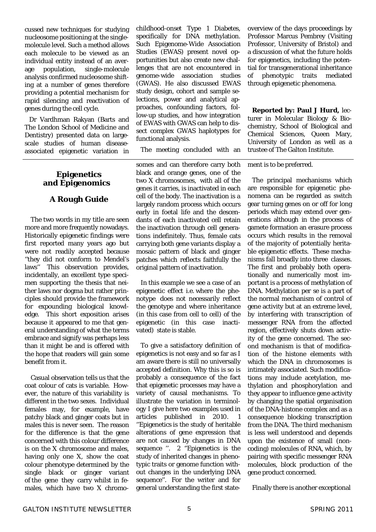cussed new techniques for studying nucleosome positioning at the singlemolecule level. Such a method allows each molecule to be viewed as an individual entity instead of an average population, single-molecule analysis confirmed nucleosome shifting at a number of genes therefore providing a potential mechanism for rapid silencing and reactivation of genes during the cell cycle.

Dr Vardhman Rakyan (Barts and The London School of Medicine and Dentistry) presented data on largescale studies of human diseaseassociated epigenetic variation in

# **Epigenetics and Epigenomics**

# **A Rough Guide**

 The two words in my title are seen more and more frequently nowadays. Historically epigenetic findings were first reported many years ago but were not readily accepted because ''they did not conform to Mendel's laws'' This observation provides, incidentally, an excellent type specimen supporting the thesis that neither laws nor dogma but rather principles should provide the framework for expounding biological knowledge. This short exposition arises because it appeared to me that general understanding of what the terms embrace and signify was perhaps less than it might be and is offered with the hope that readers will gain some benefit from it.

 Casual observation tells us that the coat colour of cats is variable. However, the nature of this variability is different in the two sexes. Individual females may, for example, have patchy black and ginger coats but in males this is never seen. The reason for the difference is that the gene concerned with this colour difference is on the X chromosome and males, having only one X, show the coat colour phenotype determined by the single black or ginger variant of the gene they carry whilst in females, which have two X chromochildhood-onset Type 1 Diabetes, specifically for DNA methylation. Such Epigenome-Wide Association Studies (EWAS) present novel opportunities but also create new challenges that are not encountered in genome-wide association studies (GWAS). He also discussed EWAS study design, cohort and sample selections, power and analytical approaches, confounding factors, follow-up studies, and how integration of EWAS with GWAS can help to dissect complex GWAS haplotypes for functional analysis.

The meeting concluded with an

somes and can therefore carry both black and orange genes, one of the two X chromosomes, with all of the genes it carries, is inactivated in each cell of the body. The inactivation is a largely random process which occurs early in foetal life and the descendants of each inactivated cell retain the inactivation through cell generations indefinitely. Thus, female cats carrying both gene variants display a mosaic pattern of black and ginger patches which reflects faithfully the original pattern of inactivation.

In this example we see a case of an epigenetic effect i.e. where the phenotype does not necessarily reflect the genotype and where inheritance (in this case from cell to cell) of the epigenetic (in this case inactivated) state is stable.

To give a satisfactory definition of epigenetics is not easy and so far as I am aware there is still no universally accepted definition. Why this is so is probably a consequence of the fact that epigenetic processes may have a variety of causal mechanisms. To illustrate the variation in terminology I give here two examples used in articles published in 2010. 1 ''Epigenetics is the study of heritable alterations of gene expression that are not caused by changes in DNA sequence ". 2 "Epigenetics is the study of inherited changes in phenotypic traits or genome function without changes in the underlying DNA sequence''. For the writer and for general understanding the first state-

overview of the days proceedings by Professor Marcus Pembrey (Visiting Professor, University of Bristol) and a discussion of what the future holds for epigenetics, including the potential for transgenerational inheritance of phenotypic traits mediated through epigenetic phenomena.

**Reported by: Paul J Hurd,** lecturer in Molecular Biology & Biochemistry, School of Biological and Chemical Sciences, Queen Mary, University of London as well as a trustee of The Galton Institute.

ment is to be preferred.

The principal mechanisms which are responsible for epigenetic phenomena can be regarded as switch gear turning genes on or off for long periods which may extend over generations although in the process of gamete formation an erasure process occurs which results in the removal of the majority of potentially heritable epigenetic effects. These mechanisms fall broadly into three classes. The first and probably both operationally and numerically most important is a process of methylation of DNA. Methylation *per se* is a part of the normal mechanism of control of gene activity but at an extreme level, by interfering with transcription of messenger RNA from the affected region, effectively shuts down activity of the gene concerned. The second mechanism is that of modification of the histone elements with which the DNA in chromosomes is intimately associated. Such modifications may include acetylation, methylation and phosphorylation and they appear to influence gene activity by changing the spatial organisation of the DNA-histone complex and as a consequence blocking transcription from the DNA. The third mechanism is less well understood and depends upon the existence of small (noncoding) molecules of RNA, which, by pairing with specific messenger RNA molecules, block production of the gene product concerned.

Finally there is another exceptional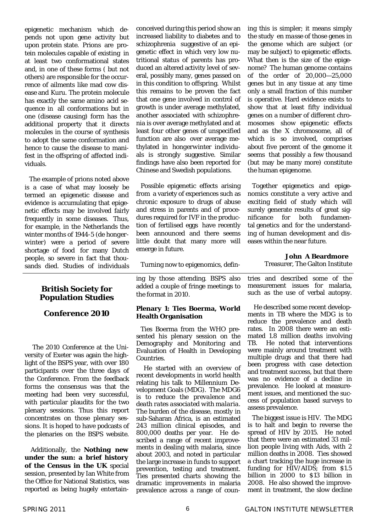epigenetic mechanism which depends not upon gene activity but upon protein state. Prions are protein molecules capable of existing in at least two conformational states and, in one of these forms ( but not others) are responsible for the occurrence of ailments like mad cow disease and Kuru. The protein molecule has exactly the same amino acid sequence in all conformations but in one (disease causing) form has the additional property that it directs molecules in the course of synthesis to adopt the same conformation and hence to cause the disease to manifest in the offspring of affected individuals.

The example of prions noted above is a case of what may loosely be termed an epigenetic disease and evidence is accumulating that epigenetic effects may be involved fairly frequently in some diseases. Thus, for example, in the Netherlands the winter months of 1944-5 (*de hongerwinter*) were a period of severe shortage of food for many Dutch people, so severe in fact that thousands died. Studies of individuals

# **British Society for Population Studies**

# **Conference 2010**

The 2010 Conference at the University of Exeter was again the highlight of the BSPS year, with over 180 participants over the three days of the Conference. From the feedback forms the consensus was that the meeting had been very successful, with particular plaudits for the two plenary sessions. Thus this report concentrates on those plenary sessions. It is hoped to have podcasts of the plenaries on the BSPS website.

 Additionally, the *Nothing new under the sun: a brief history of the Census in the UK* special session, presented by Ian White from the Office for National Statistics, was reported as being hugely entertainconceived during this period show an increased liability to diabetes and to schizophrenia suggestive of an epigenetic effect in which very low nutritional status of parents has produced an altered activity level of several, possibly many, genes passed on in this condition to offspring. Whilst this remains to be proven the fact that one gene involved in control of growth is under average methylated, another associated with schizophrenia is over average methylated and at least four other genes of unspecified function are also over average methylated in *hongerwinter* individuals is strongly suggestive. Similar findings have also been reported for Chinese and Swedish populations.

Possible epigenetic effects arising from a variety of experiences such as chronic exposure to drugs of abuse and stress in parents and of procedures required for IVF in the production of fertilised eggs have recently been announced and there seems little doubt that many more will emerge in future.

Turning now to epigenomics, defin-

ing by those attending. BSPS also added a couple of fringe meetings to the format in 2010.

#### **Plenary 1: Ties Boerma, World Health Organisation**

Ties Boerma from the WHO presented his plenary session on the Demography and Monitoring and Evaluation of Health in Developing Countries.

 He started with an overview of recent developments in world health relating his talk to Millennium Development Goals (MDG). The MDG6 is to *reduce the prevalence and death rates associated with malaria.* The burden of the disease, mostly in sub-Saharan Africa, is an estimated 243 million clinical episodes, and 800,000 deaths per year. He described a range of recent improvements in dealing with malaria, since about 2003, and noted in particular the large increase in funds to support prevention, testing and treatment. Ties presented charts showing the dramatic improvements in malaria prevalence across a range of coun-

ing this is simpler; it means simply the study *en masse* of those genes in the genome which are subject (or may be subject) to epigenetic effects. What then is the size of the epigenome? The human genome contains of the order of 20,000—25,000 genes but in any tissue at any time only a small fraction of this number is operative. Hard evidence exists to show that at least fifty individual genes on a number of different chromosomes show epigenetic effects and as the X chromosome, all of which is so involved, comprises about five percent of the genome it seems that possibly a few thousand (but may be many more) constitute the human epigenome.

Together epigenetics and epigenomics constitute a very active and exciting field of study which will surely generate results of great significance for both fundamental genetics and for the understanding of human development and diseases within the near future.

**John A Beardmore**

Treasurer, The Galton Institute

tries and described some of the measurement issues for malaria, such as the use of verbal autopsy.

 He described some recent developments in TB where the MDG is to reduce the prevalence and death rates. In 2008 there were an estimated 1.8 million deaths involving TB. He noted that interventions were mainly around treatment with multiple drugs and that there had been progress with case detection and treatment success, but that there was no evidence of a decline in prevalence. He looked at measurement issues, and mentioned the success of population based surveys to assess prevalence.

The biggest issue is HIV. The MDG is to halt and begin to reverse the spread of HIV by 2015. He noted that there were an estimated 33 million people living with Aids, with 2 million deaths in 2008. Ties showed a chart tracking the huge increase in funding for HIV/AIDS; from \$1.5 billion in 2000 to \$13 billion in 2008. He also showed the improvement in treatment, the slow decline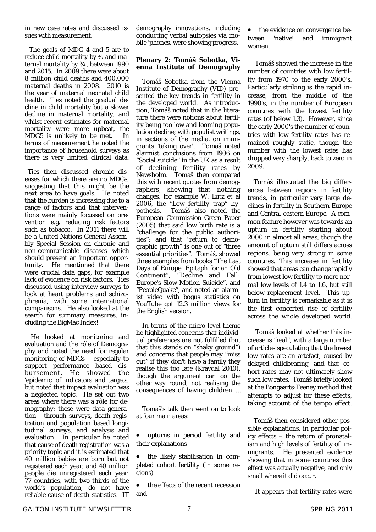in new case rates and discussed issues with measurement.

 The goals of MDG 4 and 5 are to reduce child mortality by ⅔ and maternal mortality by ¾, between 1990 and 2015. In 2009 there were about 8 million child deaths and 400,000 maternal deaths in 2008. 2010 is the year of maternal neonatal child health. Ties noted the gradual decline in child mortality but a slower decline in maternal mortality, and whilst recent estimates for maternal mortality were more upbeat, the MDG5 is unlikely to be met. In terms of measurement he noted the importance of household surveys as there is very limited clinical data.

 Ties then discussed chronic diseases for which there are no MDGs, suggesting that this might be the next area to have goals. He noted that the burden is increasing due to a range of factors and that interventions were mainly focussed on prevention e.g. reducing risk factors such as tobacco. In 2011 there will be a United Nations General Assembly Special Session on chronic and non-communicable diseases which should present an important opportunity. He mentioned that there were crucial data gaps, for example lack of evidence on risk factors. Ties discussed using interview surveys to look at heart problems and schizophrenia, with some international comparisons. He also looked at the search for summary measures, including the BigMac Index!

 He looked at monitoring and evaluation and the rôle of Demography and noted the need for regular monitoring of MDGs – especially to support performance based disbursement. He showed the 'epidemic' of indicators and targets, but noted that impact evaluation was a neglected topic. He set out two areas where there was a rôle for demography: these were data generation - through surveys, death registration and population based longitudinal surveys, and analysis and evaluation. In particular he noted that cause of death registration was a priority topic and it is estimated that 40 million babies are born but not registered each year, and 40 million people die unregistered each year. 77 countries, with two thirds of the world's population, do not have reliable cause of death statistics. IT

demography innovations, including conducting verbal autopsies via mobile 'phones, were showing progress.

#### **Plenary 2: Tomáš Sobotka, Vienna Institute of Demography**

 Tomáš Sobotka from the Vienna Institute of Demography (VID) presented the key trends in fertility in the developed world. As introduction, Tomáš noted that in the literature there were notions about fertility being too low and looming population decline; with populist writings, in sections of the media, on immigrants 'taking over'. Tomáš noted alarmist conclusions from 1906 on "Social suicide" in the UK as a result of declining fertility rates by Newsholm. Tomáš then compared this with recent quotes from demographers, showing that nothing changes, for example W. Lutz et al 2006, the "Low fertility trap" hypothesis. Tomáš also noted the European Commission Green Paper (2005) that said low birth rate is a "challenge for the public authorities"; and that "return to demographic growth" is one out of "three essential priorities". Tomáš, showed three examples from books "The Last Days of Europe: Epitaph for an Old Continent", "Decline and Fall: Europe's Slow Motion Suicide", and "PeopleQuake", and noted an alarmist video with bogus statistics on YouTube got 12.3 million views for the English version.

 In terms of the micro-level theme he highlighted concerns that individual preferences are not fulfilled (but that this stands on "shaky ground") and concerns that people may "miss out" if they don't have a family they realise this too late (Kravdal 2010), though the argument can go the other way round, not realising the consequences of having children …

 Tomáš's talk then went on to look at four main areas:

 upturns in period fertility and their explanations

 the likely stabilisation in completed cohort fertility (in some regions)

 the effects of the recent recession and

 the evidence on convergence between 'native' and immigrant women.

 Tomáš showed the increase in the number of countries with low fertility from 1970 to the early 2000's. Particularly striking is the rapid increase, from the middle of the 1990's, in the number of European countries with the lowest fertility rates (of below 1.3). However, since the early 2000's the number of countries with low fertility rates has remained roughly static, though the number with the lowest rates has dropped very sharply, back to zero in 2009.

 Tomáš illustrated the big differences between regions in fertility trends, in particular very large declines in fertility in Southern Europe and Central-eastern Europe. A common feature however was towards an upturn in fertility starting about 2000 in almost all areas, though the amount of upturn still differs across regions, being very strong in some countries. This increase in fertility showed that areas can change rapidly from lowest low fertility to more normal low levels of 1.4 to 1.6, but still below replacement level. This upturn in fertility is remarkable as it is the first concerted rise of fertility across the whole developed world.

 Tomáš looked at whether this increase is "real", with a large number of articles speculating that the lowest low rates are an artefact, caused by delayed childbearing, and that cohort rates may not ultimately show such low rates. Tomáš briefly looked at the Bongaarts-Feeney method that attempts to adjust for these effects, taking account of the tempo effect.

 Tomáš then considered other possible explanations, in particular policy effects – the return of pronatalism and high levels of fertility of immigrants. He presented evidence showing that in some countries this effect was actually negative, and only small where it did occur.

It appears that fertility rates were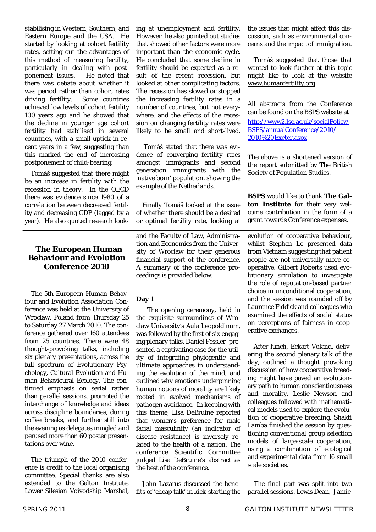stabilising in Western, Southern, and Eastern Europe and the USA. He started by looking at cohort fertility rates, setting out the advantages of this method of measuring fertility, particularly in dealing with postponement issues. He noted that there was debate about whether it was period rather than cohort rates driving fertility. Some countries achieved low levels of cohort fertility 100 years ago and he showed that the decline in younger age cohort fertility had stabilised in several countries, with a small uptick in recent years in a few, suggesting than this marked the end of increasing postponement of child-bearing.

 Tomáš suggested that there might be an increase in fertility with the recession in theory. In the OECD there was evidence since 1980 of a correlation between decreased fertility and decreasing GDP (lagged by a year). He also quoted research look-

# **The European Human Behaviour and Evolution Conference 2010**

The 5th European Human Behaviour and Evolution Association Conference was held at the University of Wroclaw, Poland from Thursday 25 to Saturday 27 March 2010. The conference gathered over 160 attendees from 25 countries. There were 48 thought-provoking talks, including six plenary presentations, across the full spectrum of Evolutionary Psychology, Cultural Evolution and Human Behavioural Ecology. The continued emphasis on serial rather than parallel sessions, promoted the interchange of knowledge and ideas across discipline boundaries, during coffee breaks, and further still into the evening as delegates mingled and perused more than 60 poster presentations over wine.

 The triumph of the 2010 conference is credit to the local organising committee. Special thanks are also extended to the Galton Institute, Lower Silesian Voivodship Marshal, ing at unemployment and fertility. However, he also pointed out studies that showed other factors were more important than the economic cycle. He concluded that some decline in fertility should be expected as a result of the recent recession, but looked at other complicating factors. The recession has slowed or stopped the increasing fertility rates in a number of countries, but not everywhere, and the effects of the recession on changing fertility rates were likely to be small and short-lived.

 Tomáš stated that there was evidence of converging fertility rates amongst immigrants and second generation immigrants with the 'native born' population, showing the example of the Netherlands.

 Finally Tomáš looked at the issue of whether there should be a desired or optimal fertility rate, looking at

and the Faculty of Law, Administration and Economics from the University of Wroclaw for their generous financial support of the conference. A summary of the conference proceedings is provided below.

# **Day 1**

The opening ceremony, held in the exquisite surroundings of Wroclaw University's Aula Leopoldinum, was followed by the first of six engaging plenary talks. Daniel Fessler presented a captivating case for the utility of integrating phylogentic and ultimate approaches in understanding the evolution of the mind, and outlined why emotions underpinning human notions of morality are likely rooted in evolved mechanisms of pathogen avoidance. In keeping with this theme, Lisa DeBruine reported that women's preference for male facial masculinity (an indicator of disease resistance) is inversely related to the health of a nation. The conference Scientific Committee judged Lisa DeBruine's abstract as the best of the conference.

 John Lazarus discussed the benefits of 'cheap talk' in kick-starting the the issues that might affect this discussion, such as environmental concerns and the impact of immigration.

 Tomáš suggested that those that wanted to look further at this topic might like to look at the website www.humanfertility.org

All abstracts from the Conference can be found on the BSPS website at

http://www2.lse.ac.uk/socialPolicy/ BSPS/annualConference/2010/ 2010%20Exeter.aspx

The above is a shortened version of the report submitted by The British Society of Population Studies.

**BSPS** would like to thank **The Galton Institute** for their very welcome contribution in the form of a grant towards Conference expenses.

evolution of cooperative behaviour, whilst Stephen Le presented data from Vietnam suggesting that patient people are not universally more cooperative. Gilbert Roberts used evolutionary simulation to investigate the role of reputation-based partner choice in unconditional cooperation, and the session was rounded off by Laurence Fiddick and colleagues who examined the effects of social status on perceptions of fairness in cooperative exchanges.

 After lunch, Eckart Voland, delivering the second plenary talk of the day, outlined a thought provoking discussion of how cooperative breeding might have paved an evolutionary path to human conscientiousness and morality. Leslie Newson and colleagues followed with mathematical models used to explore the evolution of cooperative breeding. Shakti Lamba finished the session by questioning conventional group selection models of large-scale cooperation, using a combination of ecological and experimental data from 16 small scale societies.

 The final part was split into two parallel sessions. Lewis Dean, Jamie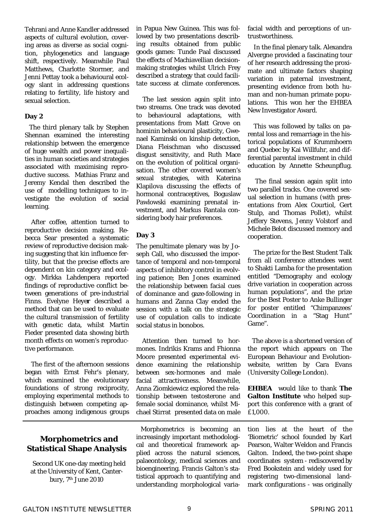Tehrani and Anne Kandler addressed aspects of cultural evolution, covering areas as diverse as social cognition, phylogenetics and language shift, respectively. Meanwhile Paul Matthews, Charlotte Stormer, and Jenni Pettay took a behavioural ecology slant in addressing questions relating to fertility, life history and sexual selection.

#### **Day 2**

The third plenary talk by Stephen Shennan examined the interesting relationship between the emergence of huge wealth and power inequalities in human societies and strategies associated with maximising reproductive success. Mathias Franz and Jeremy Kendal then described the use of modelling techniques to investigate the evolution of social learning.

After coffee, attention turned to reproductive decision making. Rebecca Sear presented a systematic review of reproductive decision making suggesting that kin influence fertility, but that the precise effects are dependent on kin category and ecology. Mirkka Lahdenpera reported findings of reproductive conflict between generations of pre-industrial Finns. Evelyne Heye**r** described a method that can be used to evaluate the cultural transmission of fertility with genetic data, whilst Martin Fieder presented data showing birth month effects on women's reproductive performance.

The first of the afternoon sessions began with Ernst Fehr's plenary, which examined the evolutionary foundations of strong reciprocity, employing experimental methods to distinguish between competing approaches among indigenous groups

# **Morphometrics and Statistical Shape Analysis**

Second UK one-day meeting held at the University of Kent, Canterbury, 7th June 2010

in Papua New Guinea. This was followed by two presentations describing results obtained from public goods games: Tunde Paal discussed the effects of Machiavellian decisionmaking strategies whilst Ulrich Frey described a strategy that could facilitate success at climate conferences.

The last session again split into two streams. One track was devoted to behavioural adaptations, with presentations from Matt Grove on hominin behavioural plasticity, Gwenael Kaminski on kinship detection, Diana Fleischman who discussed disgust sensitivity, and Ruth Mace on the evolution of political organisation. The other covered women's sexual strategies, with Katerina Klapilova discussing the effects of hormonal contraceptives, Boguslaw Pawlowski examining prenatal investment, and Markus Rantala considering body hair preferences.

# **Day 3**

The penultimate plenary was by Joseph Call, who discussed the importance of temporal and non-temporal aspects of inhibitory control in evolving patience; Ben Jones examined the relationship between facial cues of dominance and gaze-following in humans and Zanna Clay ended the session with a talk on the strategic use of copulation calls to indicate social status in bonobos.

 Attention then turned to hormones. Indrikis Krams and Fhionna Moore presented experimental evidence examining the relationship between sex-hormones and male facial attractiveness. Meanwhile, Anna Ziomkiewicz explored the relationship between testosterone and female social dominance, whilst Michael Stirrat presented data on male

Morphometrics is becoming an increasingly important methodological and theoretical framework applied across the natural sciences, palaeontology, medical sciences and bioengineering. Francis Galton's statistical approach to quantifying and understanding morphological variafacial width and perceptions of untrustworthiness.

 In the final plenary talk. Alexandra Alvergne provided a fascinating tour of her research addressing the proximate and ultimate factors shaping variation in paternal investment, presenting evidence from both human and non-human primate populations. This won her the EHBEA New Investigator Award.

 This was followed by talks on parental loss and remarriage in the historical populations of Krummhoern and Quebec by Kai Willfuhr, and differential parental investment in child education by Annette Scheunpflug.

 The final session again split into two parallel tracks. One covered sexual selection in humans (with presentations from Alex Courtiol, Gert Stulp, and Thomas Pollet), whilst Jeffery Stevens, Jenny Volstorf and Michele Belot discussed memory and cooperation.

 The prize for the Best Student Talk from all conference attendees went to Shakti Lamba for the presentation entitled "Demography and ecology drive variation in cooperation across human populations", and the prize for the Best Poster to Anke Bullinger for poster entitled "Chimpanzees' Coordination in a "Stag Hunt" Game".

The above is a shortened version of the report which appears on The European Behaviour and Evolutionwebsite, written by Cara Evans (University College London).

**EHBEA** would like to thank **The Galton Institute** who helped support this conference with a grant of £1,000.

tion lies at the heart of the 'Biometric' school founded by Karl Pearson, Walter Weldon and Francis Galton. Indeed, the two-point shape coordinates system - rediscovered by Fred Bookstein and widely used for registering two-dimensional landmark configurations - was originally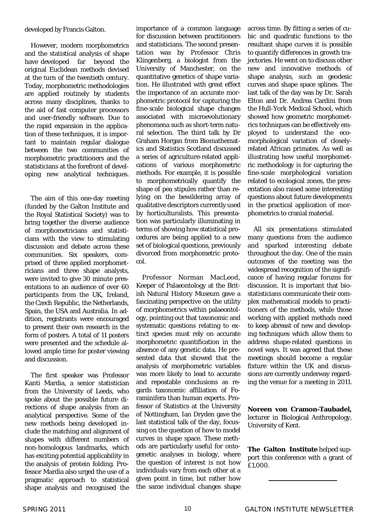developed by Francis Galton.

 However, modern morphometrics and the statistical analysis of shape have developed far beyond the original Euclidean methods devised at the turn of the twentieth century. Today, morphometric methodologies are applied routinely by students across many disciplines, thanks to the aid of fast computer processors and user-friendly software. Due to the rapid expansion in the application of these techniques, it is important to maintain regular dialogue between the two communities of morphometric practitioners and the statisticians at the forefront of developing new analytical techniques.

 The aim of this one-day meeting (funded by the Galton Institute and the Royal Statistical Society) was to bring together the diverse audience of morphometricians and statisticians with the view to stimulating discussion and debate across these communities. Six speakers, comprised of three applied morphometricians and three shape analysts, were invited to give 30 minute presentations to an audience of over 60 participants from the UK, Ireland, the Czech Republic, the Netherlands, Spain, the USA and Australia. In addition, registrants were encouraged to present their own research in the form of posters. A total of 11 posters were presented and the schedule allowed ample time for poster viewing and discussion.

 The first speaker was Professor Kanti Mardia, a senior statistician from the University of Leeds, who spoke about the possible future directions of shape analysis from an analytical perspective. Some of the new methods being developed include the matching and alignment of shapes with different numbers of non-homologous landmarks, which has exciting potential applicability in the analysis of protein folding. Professor Mardia also urged the use of a pragmatic approach to statistical shape analysis and recognised the

importance of a common language for discussion between practitioners and statisticians. The second presentation was by Professor Chris Klingenberg, a biologist from the University of Manchester, on the quantitative genetics of shape variation. He illustrated with great effect the importance of an accurate morphometric protocol for capturing the fine-scale biological shape changes associated with microevolutionary phenomena such as short-term natural selection. The third talk by Dr Graham Horgan from Biomathematics and Statistics Scotland discussed a series of agriculture-related applications of various morphometric methods. For example, it is possible to morphometrically quantify the shape of pea stipules rather than relying on the bewildering array of qualitative descriptors currently used by horticulturalists. This presentation was particularly illuminating in terms of showing how statistical procedures are being applied to a new set of biological questions, previously divorced from morphometric protocol.

 Professor Norman MacLeod, Keeper of Palaeontology at the British Natural History Museum gave a fascinating perspective on the utility of morphometrics within palaeontology, pointing out that taxonomic and systematic questions relating to extinct species must rely on accurate morphometric quantification in the absence of any genetic data. He presented data that showed that the analysis of morphometric variables was more likely to lead to accurate and repeatable conclusions as regards taxonomic affiliation of Foraminifera than human experts. Professor of Statistics at the University of Nottingham, Ian Dryden gave the last statistical talk of the day, focussing on the question of how to model curves in shape space. These methods are particularly useful for ontogenetic analyses in biology, where the question of interest is not how individuals vary from each other at a given point in time, but rather how the same individual changes shape

across time. By fitting a series of cubic and quadratic functions to the resultant shape curves it is possible to quantify differences in growth trajectories. He went on to discuss other new and innovative methods of shape analysis, such as geodesic curves and shape space splines. The last talk of the day was by Dr. Sarah Elton and Dr. Andrea Cardini from the Hull-York Medical School, which showed how geometric morphometrics techniques can be effectively employed to understand the ecomorphological variation of closelyrelated African primates. As well as illustrating how useful morphometric methodology is for capturing the fine-scale morphological variation related to ecological zones, the presentation also raised some interesting questions about future developments in the practical application of morphometrics to cranial material.

 All six presentations stimulated many questions from the audience and sparked interesting debate throughout the day. One of the main outcomes of the meeting was the widespread recognition of the significance of having regular forums for discussion. It is important that biostatisticians communicate their complex mathematical models to practitioners of the methods, while those working with applied methods need to keep abreast of new and developing techniques which allow them to address shape-related questions in novel ways. It was agreed that these meetings should become a regular fixture within the UK and discussions are currently underway regarding the venue for a meeting in 2011.

**Noreen von Cramon-Taubadel,**  lecturer in Biological Anthropology, University of Kent.

**The Galton Institute** helped support this conference with a grant of £1,000.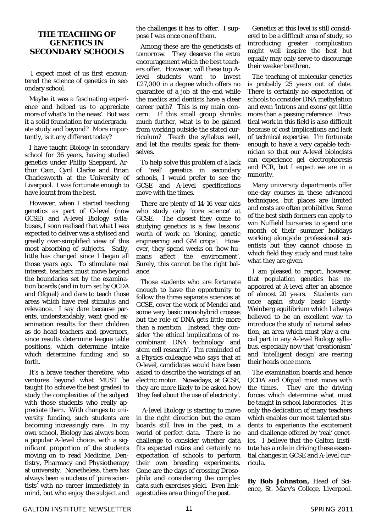# **THE TEACHING OF GENETICS IN SECONDARY SCHOOLS**

 I expect most of us first encountered the science of genetics in secondary school.

Maybe it was a fascinating experience and helped us to appreciate more of what's 'in the news'. But was it a solid foundation for undergraduate study and beyond? More importantly, is it any different today?

I have taught Biology in secondary school for 36 years, having studied genetics under Philip Sheppard, Arthur Cain, Cyril Clarke and Brian Charlesworth at the University of Liverpool. I was fortunate enough to have learnt from the best.

However, when I started teaching genetics as part of O-level (now GCSE) and A-level Biology syllabuses, I soon realised that what I was expected to deliver was a stylised and greatly over-simplified view of this most absorbing of subjects. Sadly, little has changed since I began all those years ago. To stimulate real interest, teachers must move beyond the boundaries set by the examination boards (and in turn set by QCDA and Ofqual) and dare to teach those areas which have real stimulus and relevance. I say dare because parents, understandably, want good examination results for their children as do head teachers and governors, since results determine league table positions, which determine intake which determine funding and so forth.

It's a brave teacher therefore, who ventures beyond what MUST be taught (to achieve the best grades) to study the complexities of the subject with those students who really appreciate them. With changes to university funding, such students are becoming increasingly rare. In my own school, Biology has always been a popular A-level choice, with a significant proportion of the students moving on to read Medicine, Dentistry, Pharmacy and Physiotherapy at university. Nonetheless, there has always been a nucleus of 'pure scientists' with no career immediately in mind, but who enjoy the subject and

the challenges it has to offer. I suppose I was once one of them.

Among these are the geneticists of tomorrow. They deserve the extra encouragement which the best teachers offer. However, will these top Alevel students want to invest £27,000 in a degree which offers no guarantee of a job at the end while the medics and dentists have a clear career path? This is my main concern. If this small group shrinks much further, what is to be gained from working outside the stated curriculum? Teach the syllabus well, and let the results speak for themselves.

To help solve this problem of a lack of 'real' genetics in secondary schools, I would prefer to see the GCSE and A-level specifications move with the times.

There are plenty of 14-16 year olds who study only 'core science' at GCSE. The closest they come to studying genetics is a few lessons' worth of work on 'cloning, genetic engineering and GM crops'. However, they spend weeks on 'how humans affect the environment'. Surely, this cannot be the right balance.

Those students who are fortunate enough to have the opportunity to follow the three separate sciences at GCSE, cover the work of Mendel and some very basic monohybrid crosses but the role of DNA gets little more than a mention. Instead, they consider 'the ethical implications of recombinant DNA technology and stem cell research'. I'm reminded of a Physics colleague who says that at O-level, candidates would have been asked to describe the workings of an electric motor. Nowadays, at GCSE, they are more likely to be asked how 'they feel about the use of electricity'.

 A-level Biology is starting to move in the right direction but the exam boards still live in the past, in a world of perfect data. There is no challenge to consider whether data fits expected ratios and certainly no expectation of schools to perform their own breeding experiments. Gone are the days of crossing *Drosophila* and considering the complex data such exercises yield. Even linkage studies are a thing of the past.

Genetics at this level is still considered to be a difficult area of study, so introducing greater complication might well inspire the best but equally may only serve to discourage their weaker brethren.

The teaching of molecular genetics is probably 25 years out of date. There is certainly no expectation of schools to consider DNA methylation and even 'introns and exons' get little more than a passing reference. Practical work in this field is also difficult because of cost implications and lack of technical expertise. I'm fortunate enough to have a very capable technician so that our A-level biologists can experience gel electrophoresis and PCR, but I expect we are in a minority.

Many university departments offer one-day courses in these advanced techniques, but places are limited and costs are often prohibitive. Some of the best sixth formers can apply to win Nuffield bursaries to spend one month of their summer holidays working alongside professional scientists but they cannot choose in which field they study and must take what they are given.

I am pleased to report, however, that population genetics has reappeared at A-level after an absence of almost 20 years. Students can once again study basic Hardy-Weinberg equilibrium which I always believed to be an excellent way to introduce the study of natural selection, an area which must play a crucial part in any A-level Biology syllabus, especially now that 'creationism' and 'intelligent design' are rearing their heads once more.

The examination boards and hence QCDA and Ofqual must move with the times. They are the driving forces which determine what must be taught in school laboratories. It is only the dedication of many teachers which enables our most talented students to experience the excitement and challenge offered by 'real' genetics. I believe that the Galton Institute has a role in driving these essential changes in GCSE and A-level curricula.

**By Bob Johnston,** Head of Science, St. Mary's College, Liverpool.